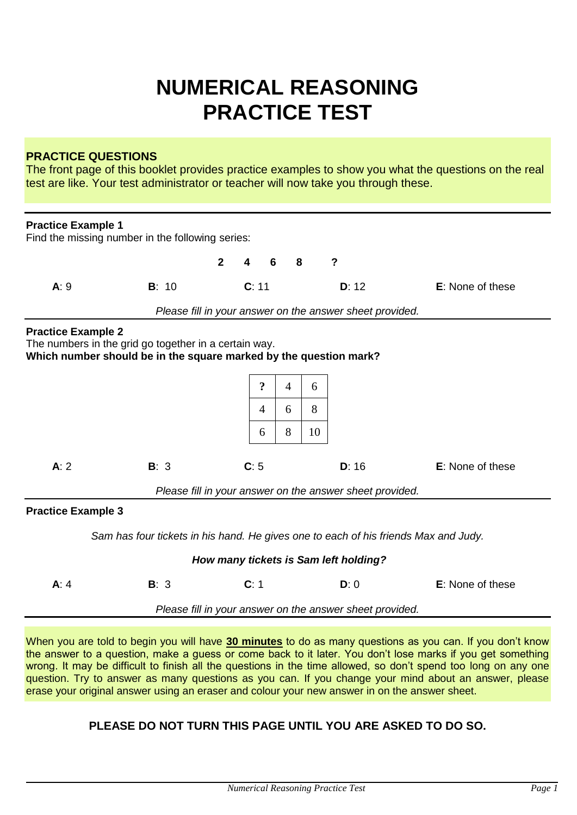# **NUMERICAL REASONING PRACTICE TEST**

#### **PRACTICE QUESTIONS**

The front page of this booklet provides practice examples to show you what the questions on the real test are like. Your test administrator or teacher will now take you through these.

| <b>Practice Example 1</b>                                |                                                                                                                            |                |                     |   |                |    |                                                          |                         |
|----------------------------------------------------------|----------------------------------------------------------------------------------------------------------------------------|----------------|---------------------|---|----------------|----|----------------------------------------------------------|-------------------------|
|                                                          | Find the missing number in the following series:                                                                           |                |                     |   |                |    |                                                          |                         |
|                                                          |                                                                                                                            | $\overline{2}$ | 4                   | 6 | 8              |    | $\boldsymbol{\mathsf{?}}$                                |                         |
| A:9                                                      | B: 10                                                                                                                      |                | C: 11               |   |                |    | D: 12                                                    | E: None of these        |
|                                                          | Please fill in your answer on the answer sheet provided.                                                                   |                |                     |   |                |    |                                                          |                         |
| <b>Practice Example 2</b>                                | The numbers in the grid go together in a certain way.<br>Which number should be in the square marked by the question mark? |                |                     |   |                |    |                                                          |                         |
|                                                          |                                                                                                                            |                | $\ddot{\mathbf{c}}$ |   | $\overline{4}$ | 6  |                                                          |                         |
|                                                          |                                                                                                                            |                | $\overline{4}$      |   | 6              | 8  |                                                          |                         |
|                                                          |                                                                                                                            |                | 6                   |   | 8              | 10 |                                                          |                         |
| A: 2                                                     | B: 3                                                                                                                       |                | C: 5                |   |                |    | D: 16                                                    | <b>E:</b> None of these |
|                                                          |                                                                                                                            |                |                     |   |                |    | Please fill in your answer on the answer sheet provided. |                         |
| <b>Practice Example 3</b>                                |                                                                                                                            |                |                     |   |                |    |                                                          |                         |
|                                                          | Sam has four tickets in his hand. He gives one to each of his friends Max and Judy.                                        |                |                     |   |                |    |                                                          |                         |
|                                                          |                                                                                                                            |                |                     |   |                |    | How many tickets is Sam left holding?                    |                         |
| A: 4                                                     | B: 3                                                                                                                       |                | C: 1                |   |                |    | D: 0                                                     | E: None of these        |
| Please fill in your answer on the answer sheet provided. |                                                                                                                            |                |                     |   |                |    |                                                          |                         |

When you are told to begin you will have **30 minutes** to do as many questions as you can. If you don't know the answer to a question, make a guess or come back to it later. You don't lose marks if you get something wrong. It may be difficult to finish all the questions in the time allowed, so don't spend too long on any one question. Try to answer as many questions as you can. If you change your mind about an answer, please erase your original answer using an eraser and colour your new answer in on the answer sheet.

# **PLEASE DO NOT TURN THIS PAGE UNTIL YOU ARE ASKED TO DO SO.**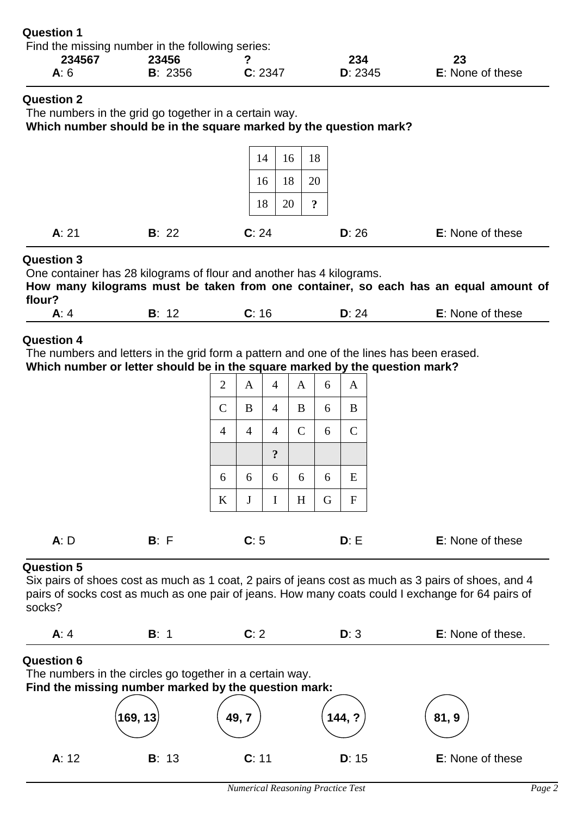| <b>Question 1</b>                                |         |         |         |                         |
|--------------------------------------------------|---------|---------|---------|-------------------------|
| Find the missing number in the following series: |         |         |         |                         |
| 234567                                           | 23456   |         | 234     | 23                      |
| A: $6$                                           | B: 2356 | C: 2347 | D: 2345 | <b>E:</b> None of these |

The numbers in the grid go together in a certain way.

**Which number should be in the square marked by the question mark?**

| A: 21 | B: 22 | C: 24 |    |    | D: 26 | E: None of these |
|-------|-------|-------|----|----|-------|------------------|
|       |       |       |    |    |       |                  |
|       |       | 18    | 20 | ച  |       |                  |
|       |       | 16    | 18 | 20 |       |                  |
|       |       | 14    | 16 | 18 |       |                  |

## **Question 3**

One container has 28 kilograms of flour and another has 4 kilograms. **How many kilograms must be taken from one container, so each has an equal amount of flour?**

| --<br>. |  | _____ | ,,, | these<br>.<br>01<br>əne<br>1 M L<br>. |
|---------|--|-------|-----|---------------------------------------|
|---------|--|-------|-----|---------------------------------------|

## **Question 4**

The numbers and letters in the grid form a pattern and one of the lines has been erased. **Which number or letter should be in the square marked by the question mark?**

| $\mathfrak{2}$ | A              | 4              | A              | 6 | A            |
|----------------|----------------|----------------|----------------|---|--------------|
| $\overline{C}$ | $\bf{B}$       | $\overline{4}$ | $\bf{B}$       | 6 | $\bf{B}$     |
| $\overline{4}$ | $\overline{4}$ | $\overline{4}$ | $\mathsf{C}$   | 6 | $\mathsf{C}$ |
|                |                | $\ddot{\cdot}$ |                |   |              |
| 6              | 6              | 6              | 6              | 6 | E            |
| $\rm K$        | $\bf J$        | I              | $\overline{H}$ | G | $\mathbf F$  |
|                |                |                |                |   |              |

| A: D |  | <b>E:</b> None of these |
|------|--|-------------------------|
|      |  |                         |

## **Question 5**

Six pairs of shoes cost as much as 1 coat, 2 pairs of jeans cost as much as 3 pairs of shoes, and 4 pairs of socks cost as much as one pair of jeans. How many coats could I exchange for 64 pairs of socks?

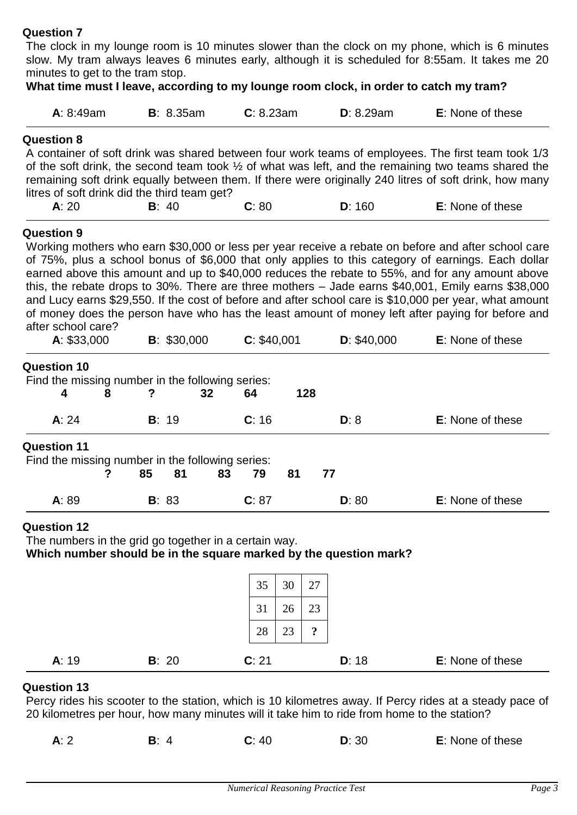The clock in my lounge room is 10 minutes slower than the clock on my phone, which is 6 minutes slow. My tram always leaves 6 minutes early, although it is scheduled for 8:55am. It takes me 20 minutes to get to the tram stop.

| A: 8:49am                                                                                                                       | <b>B</b> : 8.35am | C: 8.23am                     | D: 8.29am                                                         | <b>E:</b> None of these                                                                                                                                                                                                                                                                                                                                                                                                                                                                                                                                                                                                            |
|---------------------------------------------------------------------------------------------------------------------------------|-------------------|-------------------------------|-------------------------------------------------------------------|------------------------------------------------------------------------------------------------------------------------------------------------------------------------------------------------------------------------------------------------------------------------------------------------------------------------------------------------------------------------------------------------------------------------------------------------------------------------------------------------------------------------------------------------------------------------------------------------------------------------------------|
| <b>Question 8</b><br>litres of soft drink did the third team get?                                                               |                   |                               |                                                                   | A container of soft drink was shared between four work teams of employees. The first team took 1/3<br>of the soft drink, the second team took $\frac{1}{2}$ of what was left, and the remaining two teams shared the<br>remaining soft drink equally between them. If there were originally 240 litres of soft drink, how many                                                                                                                                                                                                                                                                                                     |
| A: 20                                                                                                                           | B: 40             | C: 80                         | D: 160                                                            | E: None of these                                                                                                                                                                                                                                                                                                                                                                                                                                                                                                                                                                                                                   |
| <b>Question 9</b><br>after school care?                                                                                         |                   |                               |                                                                   | Working mothers who earn \$30,000 or less per year receive a rebate on before and after school care<br>of 75%, plus a school bonus of \$6,000 that only applies to this category of earnings. Each dollar<br>earned above this amount and up to \$40,000 reduces the rebate to 55%, and for any amount above<br>this, the rebate drops to 30%. There are three mothers $-$ Jade earns \$40,001, Emily earns \$38,000<br>and Lucy earns \$29,550. If the cost of before and after school care is \$10,000 per year, what amount<br>of money does the person have who has the least amount of money left after paying for before and |
| A: \$33,000                                                                                                                     | B: \$30,000       | C: \$40,001                   | D: \$40,000                                                       | <b>E:</b> None of these                                                                                                                                                                                                                                                                                                                                                                                                                                                                                                                                                                                                            |
| Find the missing number in the following series:<br>4<br>8<br>A: 24<br><b>Question 11</b>                                       | ?<br>32<br>B: 19  | 64<br>C: 16<br>81<br>83<br>79 | 128<br>D: 8<br>77                                                 | E: None of these                                                                                                                                                                                                                                                                                                                                                                                                                                                                                                                                                                                                                   |
| ?                                                                                                                               | 85<br>81          |                               |                                                                   |                                                                                                                                                                                                                                                                                                                                                                                                                                                                                                                                                                                                                                    |
| A: 89                                                                                                                           | B: 83             | C: 87                         | D: 80                                                             | E: None of these                                                                                                                                                                                                                                                                                                                                                                                                                                                                                                                                                                                                                   |
|                                                                                                                                 |                   |                               | Which number should be in the square marked by the question mark? |                                                                                                                                                                                                                                                                                                                                                                                                                                                                                                                                                                                                                                    |
|                                                                                                                                 |                   | 35<br>30                      | 27                                                                |                                                                                                                                                                                                                                                                                                                                                                                                                                                                                                                                                                                                                                    |
|                                                                                                                                 |                   | 31<br>26                      | 23                                                                |                                                                                                                                                                                                                                                                                                                                                                                                                                                                                                                                                                                                                                    |
| Find the missing number in the following series:<br><b>Question 12</b><br>The numbers in the grid go together in a certain way. |                   | 28<br>23                      | $\ddot{\cdot}$                                                    |                                                                                                                                                                                                                                                                                                                                                                                                                                                                                                                                                                                                                                    |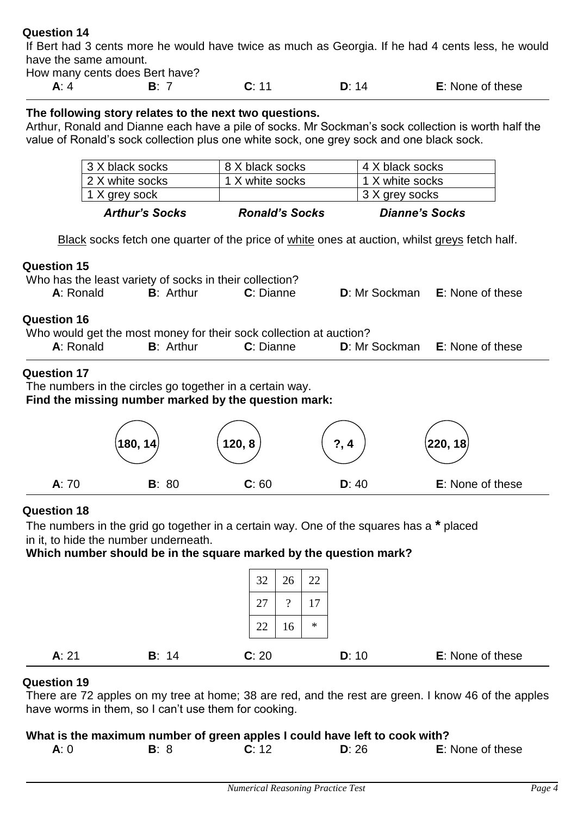If Bert had 3 cents more he would have twice as much as Georgia. If he had 4 cents less, he would have the same amount.

How many cents does Bert have?

**A**: 4 **B**: 7 **C**: 11 **D**: 14 **E**: None of these

#### **The following story relates to the next two questions.**

Arthur, Ronald and Dianne each have a pile of socks. Mr Sockman's sock collection is worth half the value of Ronald's sock collection plus one white sock, one grey sock and one black sock.

| <b>Arthur's Socks</b> | <b>Ronald's Socks</b> | <b>Dianne's Socks</b> |
|-----------------------|-----------------------|-----------------------|
| 1 X grey sock         |                       | 3 X grey socks        |
| 2 X white socks       | 1 X white socks       | 1 X white socks       |
| 3 X black socks       | 8 X black socks       | 4 X black socks       |

Black socks fetch one quarter of the price of white ones at auction, whilst greys fetch half.

#### **Question 15**

| Who has the least variety of socks in their collection? |                   |           |                                              |
|---------------------------------------------------------|-------------------|-----------|----------------------------------------------|
| A: Ronald                                               | <b>B</b> : Arthur | C: Dianne | <b>D:</b> Mr Sockman <b>E:</b> None of these |

#### **Question 16**

| Who would get the most money for their sock collection at auction? |                   |           |  |                                              |  |
|--------------------------------------------------------------------|-------------------|-----------|--|----------------------------------------------|--|
| A: Ronald                                                          | <b>B</b> : Arthur | C: Dianne |  | <b>D:</b> Mr Sockman <b>E:</b> None of these |  |

## **Question 17**

The numbers in the circles go together in a certain way.

**Find the missing number marked by the question mark:**

|       | $\left($ 180, 14 $\right)$ | 120, 8 | 2<br>? 4 | $\left( \mathbf{220,18}\right)$ |
|-------|----------------------------|--------|----------|---------------------------------|
| A: 70 | B: 80                      | C: 60  | D: 40    | E: None of these                |

## **Question 18**

The numbers in the grid go together in a certain way. One of the squares has a **\*** placed in it, to hide the number underneath.

**Which number should be in the square marked by the question mark?**

|       |       | 32<br>26       | 22     |                  |
|-------|-------|----------------|--------|------------------|
|       |       | 27<br>$\Omega$ | 17     |                  |
|       |       | 22<br>16       | $\ast$ |                  |
| A: 21 | B: 14 | C: 20          | D: 10  | E: None of these |

## **Question 19**

There are 72 apples on my tree at home; 38 are red, and the rest are green. I know 46 of the apples have worms in them, so I can't use them for cooking.

|     | What is the maximum number of green apples I could have left to cook with? |       |       |                         |
|-----|----------------------------------------------------------------------------|-------|-------|-------------------------|
| A:0 | <b>B</b> : 8                                                               | C: 12 | D: 26 | <b>E:</b> None of these |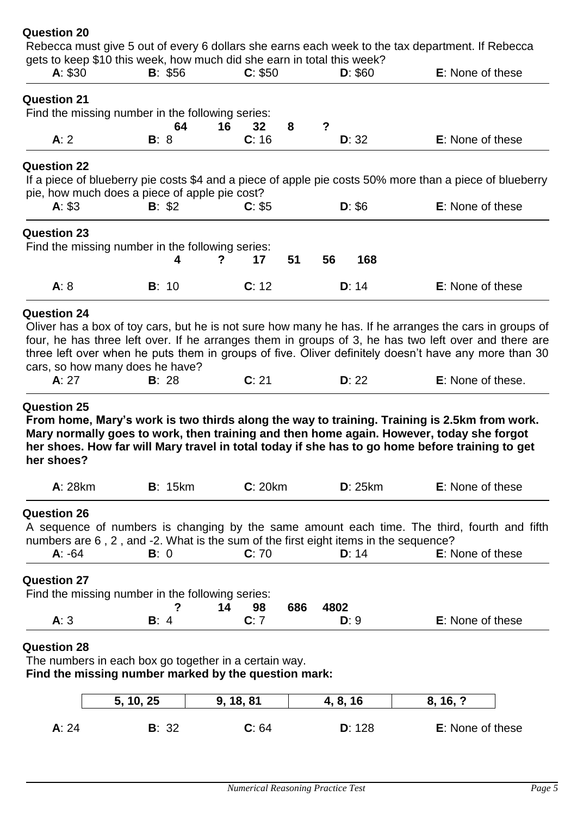| her shoes?                                                                    |        |          |         |    |           | From home, Mary's work is two thirds along the way to training. Training is 2.5km from work.<br>Mary normally goes to work, then training and then home again. However, today she forgot<br>her shoes. How far will Mary travel in total today if she has to go home before training to get                                                 |
|-------------------------------------------------------------------------------|--------|----------|---------|----|-----------|---------------------------------------------------------------------------------------------------------------------------------------------------------------------------------------------------------------------------------------------------------------------------------------------------------------------------------------------|
| <b>Question 25</b>                                                            |        |          |         |    |           |                                                                                                                                                                                                                                                                                                                                             |
| <b>Question 24</b><br>cars, so how many does he have?<br>A: 27                | B: 28  |          | C: 21   |    | D: 22     | Oliver has a box of toy cars, but he is not sure how many he has. If he arranges the cars in groups of<br>four, he has three left over. If he arranges them in groups of 3, he has two left over and there are<br>three left over when he puts them in groups of five. Oliver definitely doesn't have any more than 30<br>E: None of these. |
| A: 8                                                                          | B: 10  |          | C: 12   |    | D: 14     | <b>E:</b> None of these                                                                                                                                                                                                                                                                                                                     |
| <b>Question 23</b><br>Find the missing number in the following series:        |        | 4<br>?   | 17      | 51 | 168<br>56 |                                                                                                                                                                                                                                                                                                                                             |
| <b>Question 22</b><br>pie, how much does a piece of apple pie cost?<br>A: \$3 | B: \$2 |          | C: \$5  |    | D: \$6    | If a piece of blueberry pie costs \$4 and a piece of apple pie costs 50% more than a piece of blueberry<br>E: None of these                                                                                                                                                                                                                 |
| A: 2                                                                          | B: 8   |          | C: 16   |    | D: 32     | E: None of these                                                                                                                                                                                                                                                                                                                            |
| <b>Question 21</b><br>Find the missing number in the following series:        |        | 16<br>64 | 32      | 8  | ?         |                                                                                                                                                                                                                                                                                                                                             |
|                                                                               |        | B: \$56  | C: \$50 |    | D: \$60   | <b>E:</b> None of these                                                                                                                                                                                                                                                                                                                     |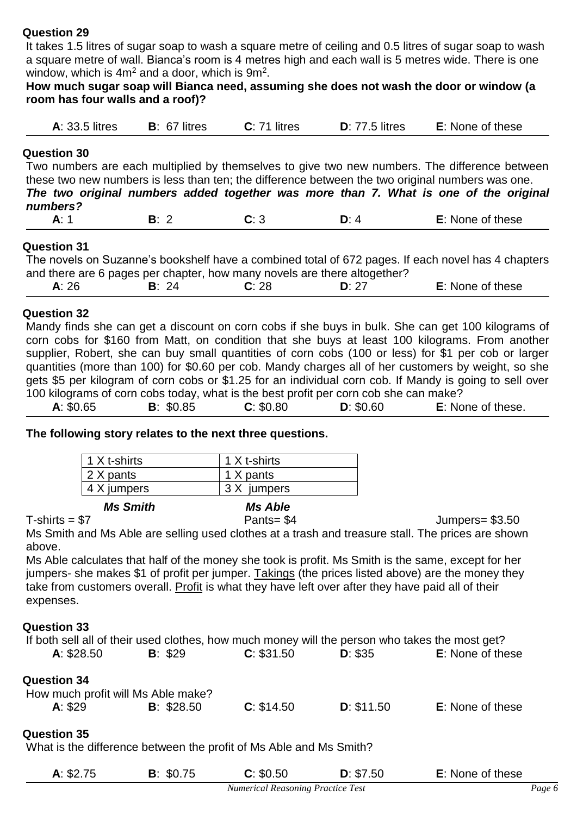It takes 1.5 litres of sugar soap to wash a square metre of ceiling and 0.5 litres of sugar soap to wash a square metre of wall. Bianca's room is 4 metres high and each wall is 5 metres wide. There is one window, which is  $4m^2$  and a door, which is  $9m^2$ .

#### **How much sugar soap will Bianca need, assuming she does not wash the door or window (a room has four walls and a roof)?**

| <b>A:</b> 33.5 litres | $B: 67$ litres | $C: 71$ litres | $D: 77.5$ litres | <b>E:</b> None of these |
|-----------------------|----------------|----------------|------------------|-------------------------|
|                       |                |                |                  |                         |

## **Question 30**

Two numbers are each multiplied by themselves to give two new numbers. The difference between these two new numbers is less than ten; the difference between the two original numbers was one.

*The two original numbers added together was more than 7. What is one of the original numbers?*

| . . | $ -$ | $\sim$ $\sim$ | ו או<br>,,<br>эτ<br>. |
|-----|------|---------------|-----------------------|
|     |      |               |                       |

#### **Question 31**

The novels on Suzanne's bookshelf have a combined total of 672 pages. If each novel has 4 chapters and there are 6 pages per chapter, how many novels are there altogether?

| : None of these |
|-----------------|
|-----------------|

#### **Question 32**

Mandy finds she can get a discount on corn cobs if she buys in bulk. She can get 100 kilograms of corn cobs for \$160 from Matt, on condition that she buys at least 100 kilograms. From another supplier, Robert, she can buy small quantities of corn cobs (100 or less) for \$1 per cob or larger quantities (more than 100) for \$0.60 per cob. Mandy charges all of her customers by weight, so she gets \$5 per kilogram of corn cobs or \$1.25 for an individual corn cob. If Mandy is going to sell over 100 kilograms of corn cobs today, what is the best profit per corn cob she can make?

| A: \$0.65 | B: \$0.85 | C: \$0.80 | D: \$0.60 | E: None of these. |
|-----------|-----------|-----------|-----------|-------------------|
|           |           |           |           |                   |

**The following story relates to the next three questions.**

| <b>Ms Smith</b> |              |  |
|-----------------|--------------|--|
| 4 X jumpers     | 3 X jumpers  |  |
| 2 X pants       | 1 X pants    |  |
| 1 X t-shirts    | 1 X t-shirts |  |

T-shirts = \$7 Pants= \$4 Jumpers= \$3.50

Ms Smith and Ms Able are selling used clothes at a trash and treasure stall. The prices are shown above.

Ms Able calculates that half of the money she took is profit. Ms Smith is the same, except for her jumpers- she makes \$1 of profit per jumper. Takings (the prices listed above) are the money they take from customers overall. Profit is what they have left over after they have paid all of their expenses.

#### **Question 33**

| If both sell all of their used clothes, how much money will the person who takes the most get? |            |            |            |                  |
|------------------------------------------------------------------------------------------------|------------|------------|------------|------------------|
| A: \$28.50                                                                                     | B: \$29    | C: \$31.50 | D: \$35    | E: None of these |
| <b>Question 34</b><br>How much profit will Ms Able make?<br>A: \$29                            | B: \$28.50 | C: \$14.50 | D: \$11.50 | E: None of these |

#### **Question 35**

What is the difference between the profit of Ms Able and Ms Smith?

| A: \$2.75 | B: \$0.75 | C: \$0.50 | D: \$7.50 | <b>E:</b> None of these |
|-----------|-----------|-----------|-----------|-------------------------|
|           |           |           |           |                         |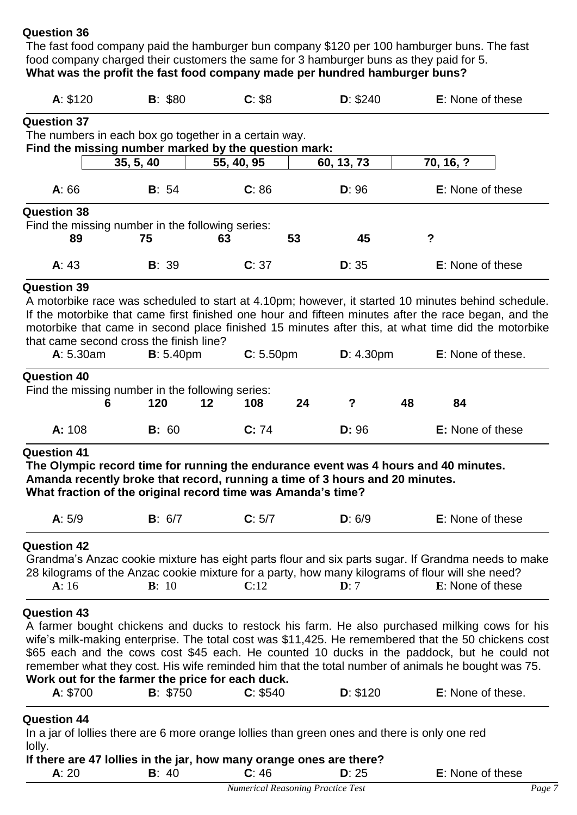The fast food company paid the hamburger bun company \$120 per 100 hamburger buns. The fast food company charged their customers the same for 3 hamburger buns as they paid for 5. **What was the profit the fast food company made per hundred hamburger buns?** 

| A: \$120                                         | B: \$80           | C: \$8                                                                                        | D: \$240              | <b>E:</b> None of these                                                                                                                                                                                    |
|--------------------------------------------------|-------------------|-----------------------------------------------------------------------------------------------|-----------------------|------------------------------------------------------------------------------------------------------------------------------------------------------------------------------------------------------------|
| <b>Question 37</b>                               |                   |                                                                                               |                       |                                                                                                                                                                                                            |
|                                                  |                   | The numbers in each box go together in a certain way.                                         |                       |                                                                                                                                                                                                            |
|                                                  | 35, 5, 40         | Find the missing number marked by the question mark:<br>55, 40, 95                            | 60, 13, 73            | 70, 16, ?                                                                                                                                                                                                  |
|                                                  |                   |                                                                                               |                       |                                                                                                                                                                                                            |
| A: 66                                            | B: 54             | C: 86                                                                                         | D: 96                 | <b>E:</b> None of these                                                                                                                                                                                    |
| <b>Question 38</b>                               |                   |                                                                                               |                       |                                                                                                                                                                                                            |
| Find the missing number in the following series: | 75                | 53<br>63                                                                                      | 45                    | $\boldsymbol{?}$                                                                                                                                                                                           |
| 89                                               |                   |                                                                                               |                       |                                                                                                                                                                                                            |
| A: 43                                            | B: 39             | C: 37                                                                                         | D: 35                 | <b>E:</b> None of these                                                                                                                                                                                    |
| <b>Question 39</b>                               |                   |                                                                                               |                       |                                                                                                                                                                                                            |
|                                                  |                   |                                                                                               |                       | A motorbike race was scheduled to start at 4.10pm; however, it started 10 minutes behind schedule.<br>If the motorbike that came first finished one hour and fifteen minutes after the race began, and the |
|                                                  |                   |                                                                                               |                       | motorbike that came in second place finished 15 minutes after this, at what time did the motorbike                                                                                                         |
| that came second cross the finish line?          |                   |                                                                                               |                       |                                                                                                                                                                                                            |
| A: 5.30am                                        | <b>B</b> : 5.40pm | C: 5.50 <sub>pm</sub>                                                                         | D: 4.30 <sub>pm</sub> | E: None of these.                                                                                                                                                                                          |
| <b>Question 40</b>                               |                   |                                                                                               |                       |                                                                                                                                                                                                            |
| Find the missing number in the following series: |                   |                                                                                               |                       |                                                                                                                                                                                                            |
| 6                                                | 120               | $12 \,$<br>108<br>24                                                                          | $\overline{?}$        | 48<br>84                                                                                                                                                                                                   |
| A: 108                                           | B: 60             | C: 74                                                                                         | D: 96                 | <b>E:</b> None of these                                                                                                                                                                                    |
| <b>Question 41</b>                               |                   |                                                                                               |                       |                                                                                                                                                                                                            |
|                                                  |                   | The Olympic record time for running the endurance event was 4 hours and 40 minutes.           |                       |                                                                                                                                                                                                            |
|                                                  |                   | Amanda recently broke that record, running a time of 3 hours and 20 minutes.                  |                       |                                                                                                                                                                                                            |
|                                                  |                   | What fraction of the original record time was Amanda's time?                                  |                       |                                                                                                                                                                                                            |
| A: 5/9                                           | <b>B</b> : $6/7$  | C: 5/7                                                                                        | D: 6/9                | E: None of these                                                                                                                                                                                           |
|                                                  |                   |                                                                                               |                       |                                                                                                                                                                                                            |
| <b>Question 42</b>                               |                   |                                                                                               |                       | Grandma's Anzac cookie mixture has eight parts flour and six parts sugar. If Grandma needs to make                                                                                                         |
|                                                  |                   |                                                                                               |                       | 28 kilograms of the Anzac cookie mixture for a party, how many kilograms of flour will she need?                                                                                                           |
| A:16                                             | B: 10             | C:12                                                                                          | $\mathbf{D}: 7$       | E: None of these                                                                                                                                                                                           |
|                                                  |                   |                                                                                               |                       |                                                                                                                                                                                                            |
| <b>Question 43</b>                               |                   |                                                                                               |                       |                                                                                                                                                                                                            |
|                                                  |                   |                                                                                               |                       | A farmer bought chickens and ducks to restock his farm. He also purchased milking cows for his<br>wife's milk-making enterprise. The total cost was \$11,425. He remembered that the 50 chickens cost      |
|                                                  |                   |                                                                                               |                       | \$65 each and the cows cost \$45 each. He counted 10 ducks in the paddock, but he could not                                                                                                                |
|                                                  |                   |                                                                                               |                       | remember what they cost. His wife reminded him that the total number of animals he bought was 75.                                                                                                          |
| Work out for the farmer the price for each duck. |                   |                                                                                               |                       |                                                                                                                                                                                                            |
| A: \$700                                         | B: \$750          | C: \$540                                                                                      | D: \$120              | E: None of these.                                                                                                                                                                                          |
| <b>Question 44</b>                               |                   |                                                                                               |                       |                                                                                                                                                                                                            |
|                                                  |                   | In a jar of lollies there are 6 more orange lollies than green ones and there is only one red |                       |                                                                                                                                                                                                            |
| lolly.                                           |                   |                                                                                               |                       |                                                                                                                                                                                                            |
|                                                  |                   | If there are 47 lollies in the jar, how many orange ones are there?                           |                       |                                                                                                                                                                                                            |
| A: 20                                            | B: 40             | C: 46                                                                                         | D: 25                 | E: None of these                                                                                                                                                                                           |